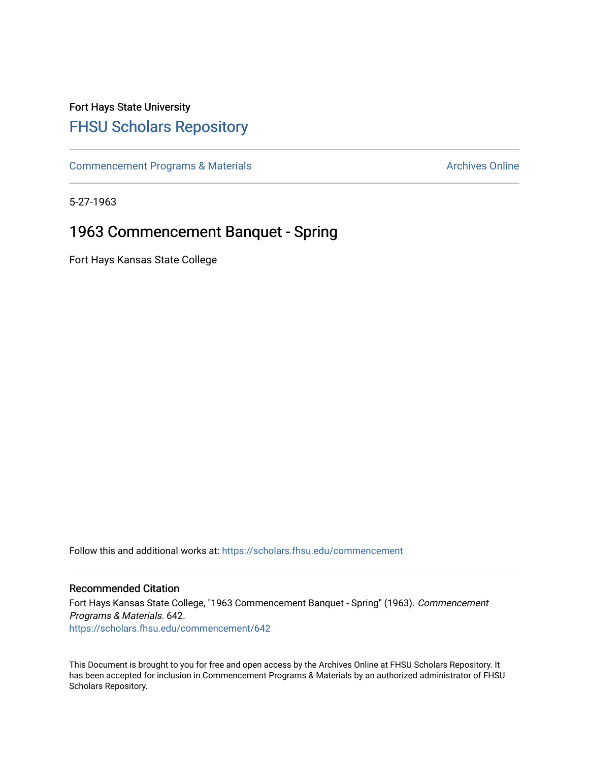## Fort Hays State University [FHSU Scholars Repository](https://scholars.fhsu.edu/)

[Commencement Programs & Materials](https://scholars.fhsu.edu/commencement) **Archives Online** Archives Online

5-27-1963

## 1963 Commencement Banquet - Spring

Fort Hays Kansas State College

Follow this and additional works at: [https://scholars.fhsu.edu/commencement](https://scholars.fhsu.edu/commencement?utm_source=scholars.fhsu.edu%2Fcommencement%2F642&utm_medium=PDF&utm_campaign=PDFCoverPages)

#### Recommended Citation

Fort Hays Kansas State College, "1963 Commencement Banquet - Spring" (1963). Commencement Programs & Materials. 642. [https://scholars.fhsu.edu/commencement/642](https://scholars.fhsu.edu/commencement/642?utm_source=scholars.fhsu.edu%2Fcommencement%2F642&utm_medium=PDF&utm_campaign=PDFCoverPages)

This Document is brought to you for free and open access by the Archives Online at FHSU Scholars Repository. It has been accepted for inclusion in Commencement Programs & Materials by an authorized administrator of FHSU Scholars Repository.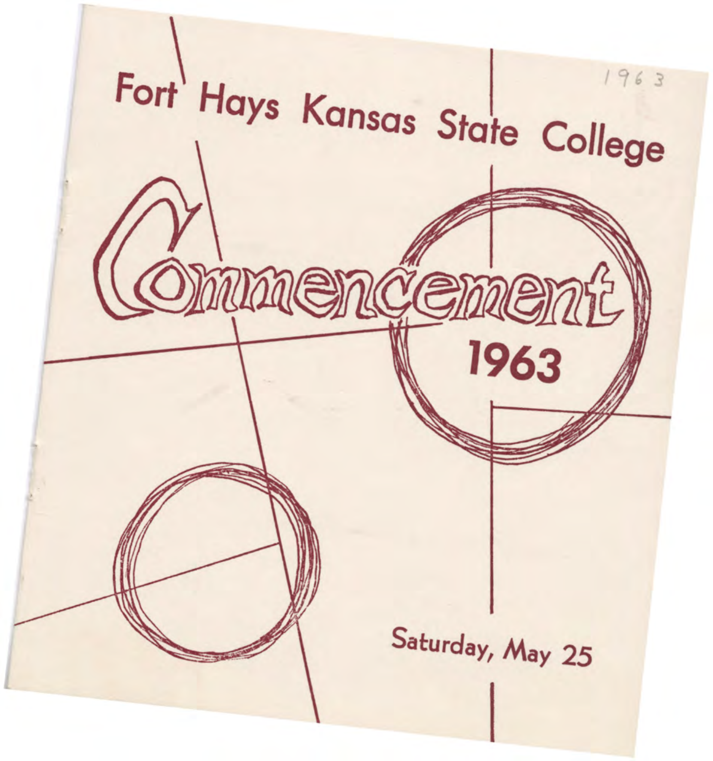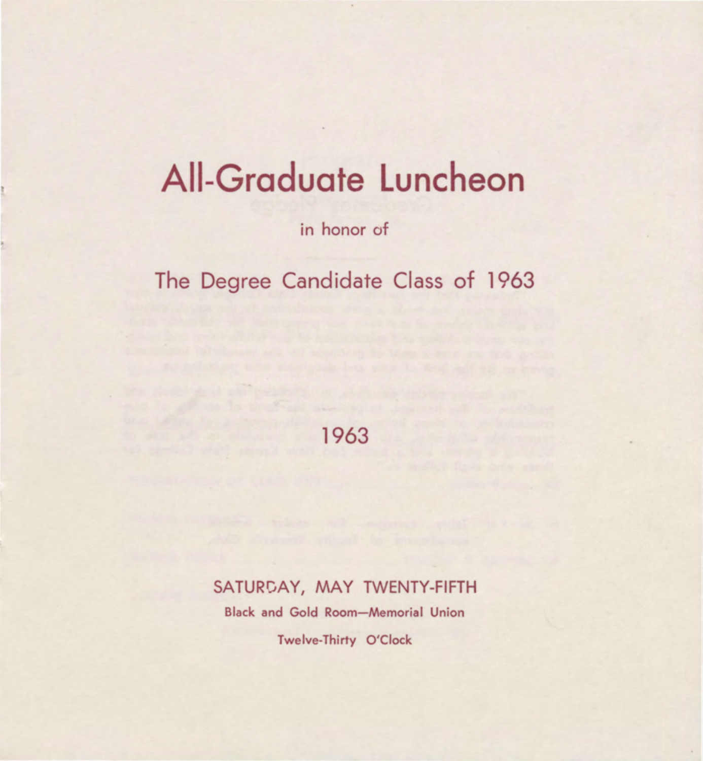# **All-Graduate Luncheon**

in honor of

The Degree Candidate Class of 1963

1963

SATURDAY, MAY TWENTY-FIFTH

Black and Gold Room-Memorial Union

Twelve-Thirty O'Clock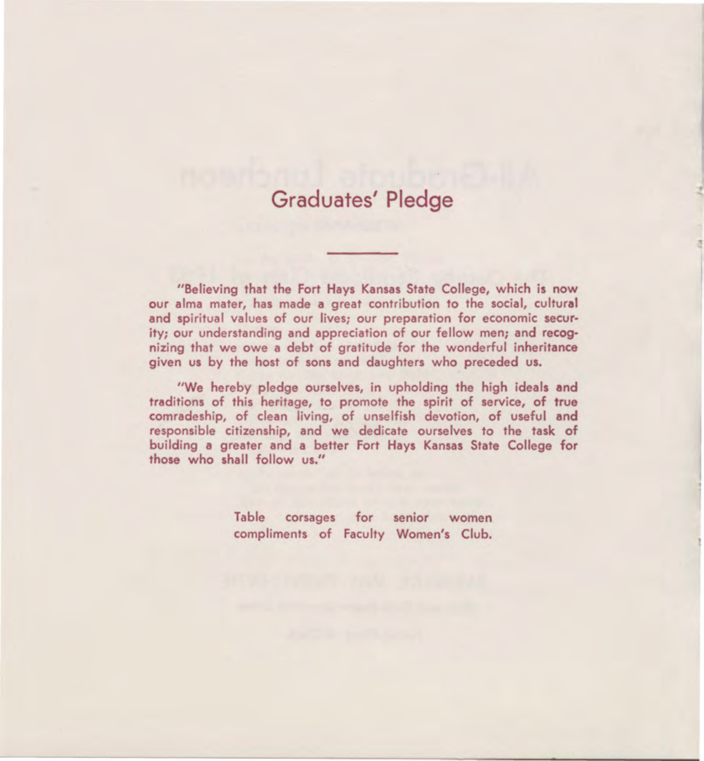#### **Graduates' Pledge**

"Believing that the Fort Hays Kansas State College, which is now our alma mater, has made a great contribution to the social, cultural and spiritual values of our lives: our preparation for economic security; our understanding and appreciation of our fellow men; and recognizing that we owe a debt of gratitude for the wonderful inheritance given us by the host of sons and daughters who preceded us.

"We hereby pledge ourselves, in upholding the high ideals **and**  traditions of this heritage, to promote the spirit of service, of true comradeship, of clean living, of unselfish devotion, of useful **and**  responsible citizenship, and we dedicate ourselves to the task of building **a** greater and **a** better Fort Hays Kansas State College for those who shall follow us."

> Table corsages for senior women compliments of Faculty Women's Club.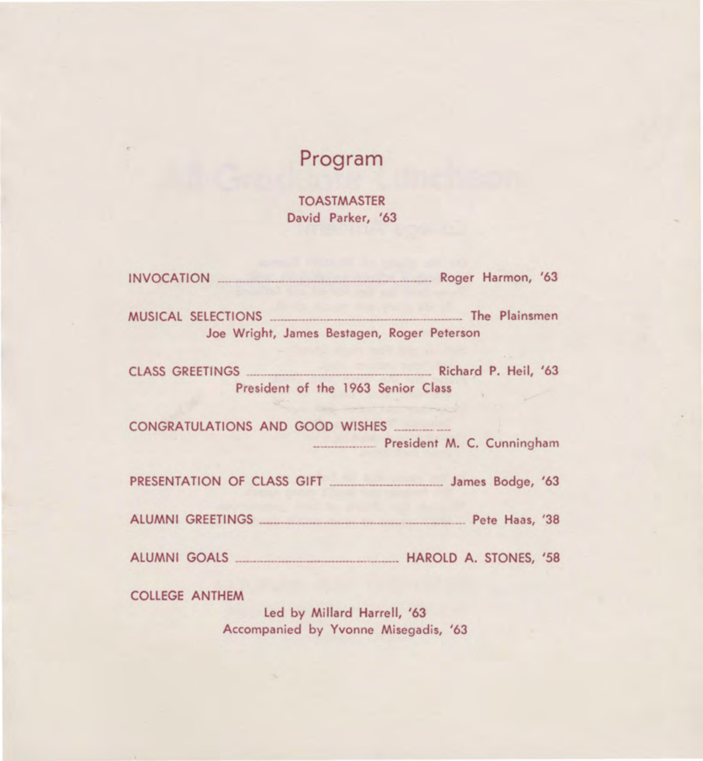### **Program**

TOASTMASTER David Parker, '63

| INVOCATION <b>EXECUTE:</b> Roger Harmon, '63                                                                                                          |  |
|-------------------------------------------------------------------------------------------------------------------------------------------------------|--|
| Joe Wright, James Bestagen, Roger Peterson                                                                                                            |  |
| CLASS GREETINGS Richard P. Heil, '63<br>President of the 1963 Senior Class                                                                            |  |
| President M. C. Cunningham                                                                                                                            |  |
|                                                                                                                                                       |  |
|                                                                                                                                                       |  |
|                                                                                                                                                       |  |
| <b>COLLEGE ANTHEM</b><br>$\mathbf{r} = \mathbf{r} + \mathbf{r}$ and $\mathbf{r} = \mathbf{r} + \mathbf{r}$ and $\mathbf{r} = \mathbf{r} + \mathbf{r}$ |  |

Led by Millard Harrell, '63 Accompanied by Yvonne Misegadis, '63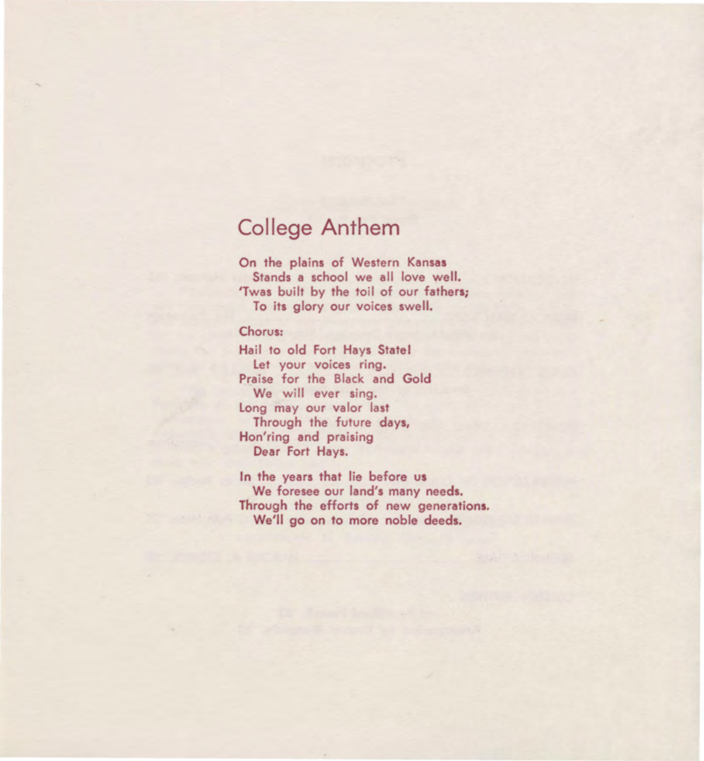#### **College Anthem**

On the plains of Western **Kansas**  Stands a school we all love well. 'Twas built by the toil of our fathers; To its glory our voices swell.

#### Chorus:

Hail to old Fort Hays State! Let your voices ring. Praise for the Black and Gold We will ever sing. Long may our valor last Through the future days, Hon'ring and praising Dear Fort Hays.

In the years that lie before **us**  We foresee our land's many needs. Through the efforts of new generations. We'll go on to more noble deeds.